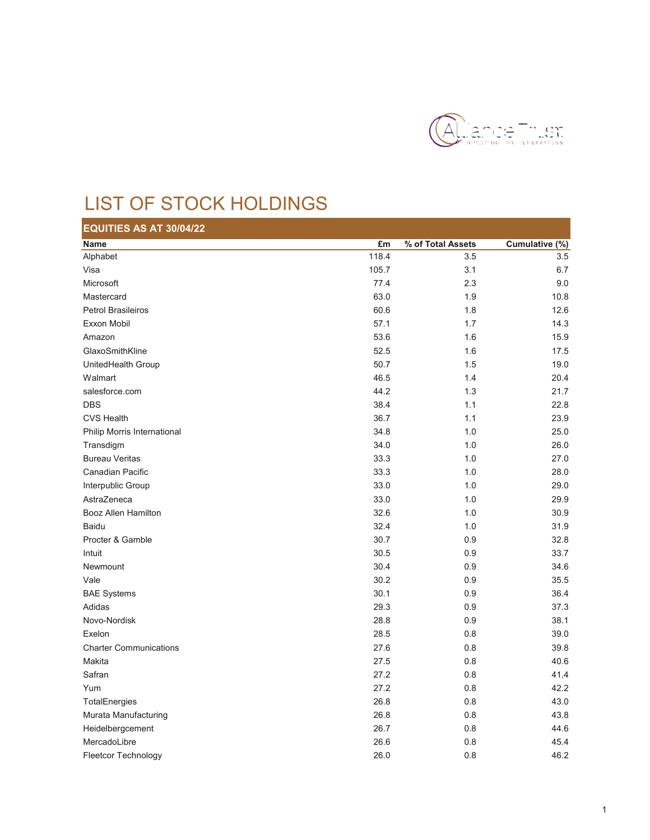

## LIST OF STOCK HOLDINGS

| EQUITIES AS AT 30/04/22       |       |                   |                |
|-------------------------------|-------|-------------------|----------------|
| Name                          | £m    | % of Total Assets | Cumulative (%) |
| Alphabet                      | 118.4 | 3.5               | 3.5            |
| Visa                          | 105.7 | 3.1               | 6.7            |
| Microsoft                     | 77.4  | 2.3               | 9.0            |
| Mastercard                    | 63.0  | 1.9               | 10.8           |
| <b>Petrol Brasileiros</b>     | 60.6  | 1.8               | 12.6           |
| Exxon Mobil                   | 57.1  | 1.7               | 14.3           |
| Amazon                        | 53.6  | 1.6               | 15.9           |
| GlaxoSmithKline               | 52.5  | 1.6               | 17.5           |
| UnitedHealth Group            | 50.7  | 1.5               | 19.0           |
| Walmart                       | 46.5  | 1.4               | 20.4           |
| salesforce.com                | 44.2  | 1.3               | 21.7           |
| <b>DBS</b>                    | 38.4  | 1.1               | 22.8           |
| <b>CVS Health</b>             | 36.7  | 1.1               | 23.9           |
| Philip Morris International   | 34.8  | 1.0               | 25.0           |
| Transdigm                     | 34.0  | 1.0               | 26.0           |
| <b>Bureau Veritas</b>         | 33.3  | 1.0               | 27.0           |
| Canadian Pacific              | 33.3  | 1.0               | 28.0           |
| Interpublic Group             | 33.0  | 1.0               | 29.0           |
| AstraZeneca                   | 33.0  | 1.0               | 29.9           |
| Booz Allen Hamilton           | 32.6  | 1.0               | 30.9           |
| Baidu                         | 32.4  | 1.0               | 31.9           |
| Procter & Gamble              | 30.7  | 0.9               | 32.8           |
| Intuit                        | 30.5  | 0.9               | 33.7           |
| Newmount                      | 30.4  | 0.9               | 34.6           |
| Vale                          | 30.2  | 0.9               | 35.5           |
| <b>BAE Systems</b>            | 30.1  | 0.9               | 36.4           |
| Adidas                        | 29.3  | 0.9               | 37.3           |
| Novo-Nordisk                  | 28.8  | 0.9               | 38.1           |
| Exelon                        | 28.5  | 0.8               | 39.0           |
| <b>Charter Communications</b> | 27.6  | 0.8               | 39.8           |
| Makita                        | 27.5  | 0.8               | 40.6           |
| Safran                        | 27.2  | 0.8               | 41.4           |
| Yum                           | 27.2  | 0.8               | 42.2           |
| TotalEnergies                 | 26.8  | 0.8               | 43.0           |
| Murata Manufacturing          | 26.8  | 0.8               | 43.8           |
| Heidelbergcement              | 26.7  | 0.8               | 44.6           |
| MercadoLibre                  | 26.6  | 0.8               | 45.4           |
| <b>Fleetcor Technology</b>    | 26.0  | 0.8               | 46.2           |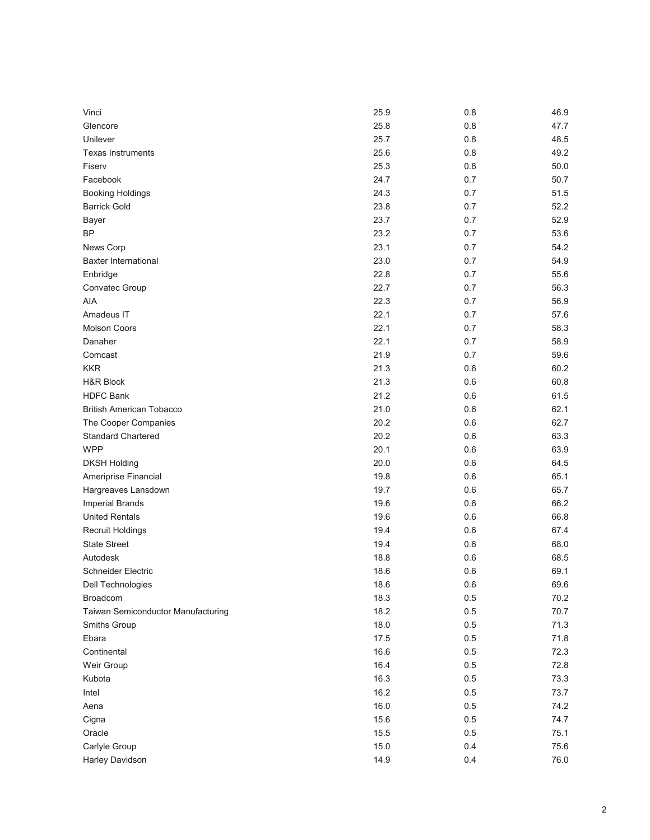| Vinci                              | 25.9 | 0.8     | 46.9 |
|------------------------------------|------|---------|------|
| Glencore                           | 25.8 | 0.8     | 47.7 |
| Unilever                           | 25.7 | 0.8     | 48.5 |
| <b>Texas Instruments</b>           | 25.6 | 0.8     | 49.2 |
| Fiserv                             | 25.3 | 0.8     | 50.0 |
| Facebook                           | 24.7 | 0.7     | 50.7 |
| <b>Booking Holdings</b>            | 24.3 | 0.7     | 51.5 |
| <b>Barrick Gold</b>                | 23.8 | 0.7     | 52.2 |
| Bayer                              | 23.7 | 0.7     | 52.9 |
| <b>BP</b>                          | 23.2 | 0.7     | 53.6 |
| News Corp                          | 23.1 | 0.7     | 54.2 |
| <b>Baxter International</b>        | 23.0 | 0.7     | 54.9 |
| Enbridge                           | 22.8 | 0.7     | 55.6 |
| Convatec Group                     | 22.7 | 0.7     | 56.3 |
| AIA                                | 22.3 | 0.7     | 56.9 |
| Amadeus IT                         | 22.1 | 0.7     | 57.6 |
| <b>Molson Coors</b>                | 22.1 | 0.7     | 58.3 |
| Danaher                            | 22.1 | 0.7     | 58.9 |
| Comcast                            | 21.9 | 0.7     | 59.6 |
| <b>KKR</b>                         | 21.3 | 0.6     | 60.2 |
| <b>H&amp;R Block</b>               | 21.3 | 0.6     | 60.8 |
| <b>HDFC Bank</b>                   | 21.2 | 0.6     | 61.5 |
| <b>British American Tobacco</b>    | 21.0 | 0.6     | 62.1 |
| The Cooper Companies               | 20.2 | 0.6     | 62.7 |
| <b>Standard Chartered</b>          | 20.2 | 0.6     | 63.3 |
| <b>WPP</b>                         | 20.1 | 0.6     | 63.9 |
| <b>DKSH Holding</b>                | 20.0 | 0.6     | 64.5 |
| Ameriprise Financial               | 19.8 | 0.6     | 65.1 |
| Hargreaves Lansdown                | 19.7 | 0.6     | 65.7 |
| <b>Imperial Brands</b>             | 19.6 | 0.6     | 66.2 |
| <b>United Rentals</b>              | 19.6 | 0.6     | 66.8 |
| Recruit Holdings                   | 19.4 | 0.6     | 67.4 |
| <b>State Street</b>                | 19.4 | 0.6     | 68.0 |
| Autodesk                           | 18.8 | 0.6     | 68.5 |
| Schneider Electric                 | 18.6 | 0.6     | 69.1 |
| Dell Technologies                  | 18.6 | $0.6\,$ | 69.6 |
| <b>Broadcom</b>                    | 18.3 | 0.5     | 70.2 |
| Taiwan Semiconductor Manufacturing | 18.2 | 0.5     | 70.7 |
| Smiths Group                       | 18.0 | 0.5     | 71.3 |
| Ebara                              | 17.5 | 0.5     | 71.8 |
| Continental                        | 16.6 | 0.5     | 72.3 |
| Weir Group                         | 16.4 | 0.5     | 72.8 |
| Kubota                             | 16.3 | 0.5     | 73.3 |
| Intel                              | 16.2 | 0.5     | 73.7 |
| Aena                               | 16.0 | 0.5     | 74.2 |
| Cigna                              | 15.6 | 0.5     | 74.7 |
| Oracle                             | 15.5 | $0.5\,$ | 75.1 |
| Carlyle Group                      | 15.0 | 0.4     | 75.6 |
| Harley Davidson                    | 14.9 | 0.4     | 76.0 |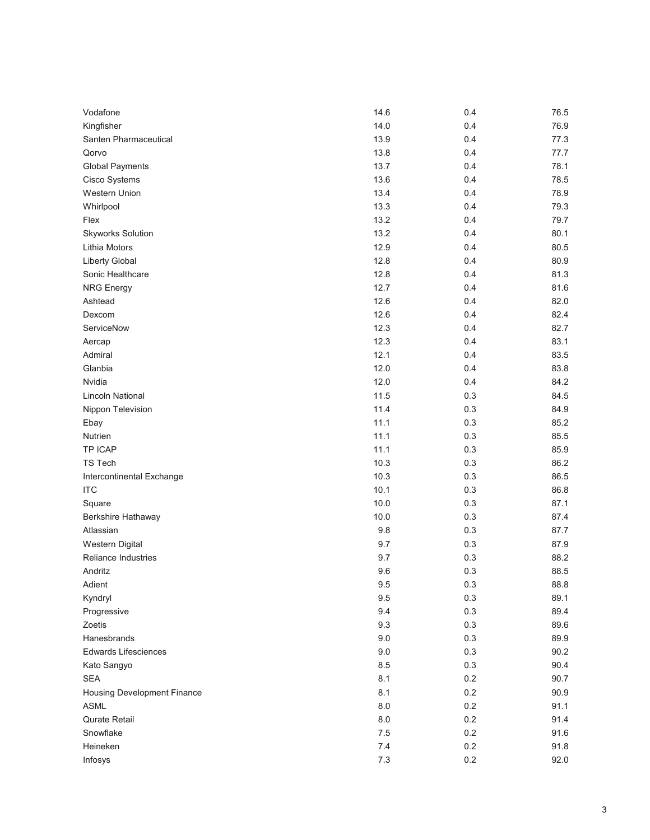| Vodafone                           | 14.6    | 0.4 | 76.5 |
|------------------------------------|---------|-----|------|
| Kingfisher                         | 14.0    | 0.4 | 76.9 |
| Santen Pharmaceutical              | 13.9    | 0.4 | 77.3 |
| Qorvo                              | 13.8    | 0.4 | 77.7 |
| <b>Global Payments</b>             | 13.7    | 0.4 | 78.1 |
| Cisco Systems                      | 13.6    | 0.4 | 78.5 |
| Western Union                      | 13.4    | 0.4 | 78.9 |
| Whirlpool                          | 13.3    | 0.4 | 79.3 |
| Flex                               | 13.2    | 0.4 | 79.7 |
| <b>Skyworks Solution</b>           | 13.2    | 0.4 | 80.1 |
| Lithia Motors                      | 12.9    | 0.4 | 80.5 |
| <b>Liberty Global</b>              | 12.8    | 0.4 | 80.9 |
| Sonic Healthcare                   | 12.8    | 0.4 | 81.3 |
| <b>NRG Energy</b>                  | 12.7    | 0.4 | 81.6 |
| Ashtead                            | 12.6    | 0.4 | 82.0 |
| Dexcom                             | 12.6    | 0.4 | 82.4 |
| ServiceNow                         | 12.3    | 0.4 | 82.7 |
| Aercap                             | 12.3    | 0.4 | 83.1 |
| Admiral                            | 12.1    | 0.4 | 83.5 |
| Glanbia                            | 12.0    | 0.4 | 83.8 |
| Nvidia                             | 12.0    | 0.4 | 84.2 |
| <b>Lincoln National</b>            | 11.5    | 0.3 | 84.5 |
| Nippon Television                  | 11.4    | 0.3 | 84.9 |
| Ebay                               | 11.1    | 0.3 | 85.2 |
| Nutrien                            | 11.1    | 0.3 | 85.5 |
| TP ICAP                            | 11.1    | 0.3 | 85.9 |
| <b>TS Tech</b>                     | 10.3    | 0.3 | 86.2 |
| Intercontinental Exchange          | 10.3    | 0.3 | 86.5 |
| <b>ITC</b>                         | 10.1    | 0.3 | 86.8 |
| Square                             | 10.0    | 0.3 | 87.1 |
| Berkshire Hathaway                 | 10.0    | 0.3 | 87.4 |
| Atlassian                          | 9.8     | 0.3 | 87.7 |
| Western Digital                    | 9.7     | 0.3 | 87.9 |
| <b>Reliance Industries</b>         | 9.7     | 0.3 | 88.2 |
| Andritz                            | 9.6     | 0.3 | 88.5 |
| Adient                             | 9.5     | 0.3 | 88.8 |
| Kyndryl                            | 9.5     | 0.3 | 89.1 |
| Progressive                        | 9.4     | 0.3 | 89.4 |
| Zoetis                             | 9.3     | 0.3 | 89.6 |
| Hanesbrands                        | 9.0     | 0.3 | 89.9 |
| <b>Edwards Lifesciences</b>        | 9.0     | 0.3 | 90.2 |
| Kato Sangyo                        | 8.5     | 0.3 | 90.4 |
| <b>SEA</b>                         | 8.1     | 0.2 | 90.7 |
| <b>Housing Development Finance</b> | 8.1     | 0.2 | 90.9 |
| <b>ASML</b>                        | 8.0     | 0.2 | 91.1 |
| Qurate Retail                      | 8.0     | 0.2 | 91.4 |
| Snowflake                          | $7.5\,$ | 0.2 | 91.6 |
| Heineken                           | 7.4     | 0.2 | 91.8 |
| Infosys                            | $7.3$   | 0.2 | 92.0 |